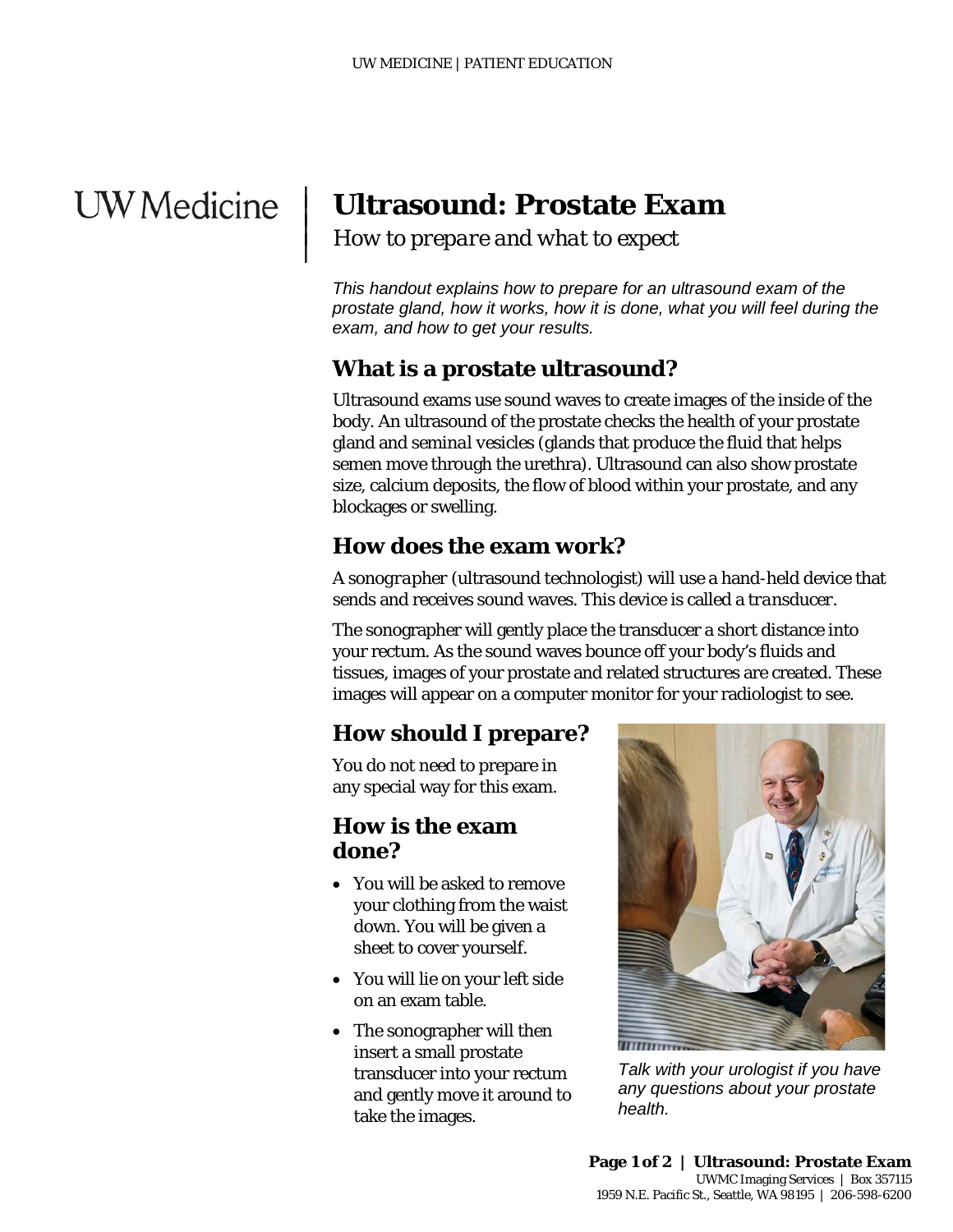# **UW** Medicine

|  $\vert$  $\vert$  $\vert$ 

## **Ultrasound: Prostate Exam**

*How to prepare and what to expect*

*This handout explains how to prepare for an ultrasound exam of the prostate gland, how it works, how it is done, what you will feel during the exam, and how to get your results.* 

#### **What is a prostate ultrasound?**

Ultrasound exams use sound waves to create images of the inside of the body. An ultrasound of the prostate checks the health of your prostate gland and *seminal vesicles* (glands that produce the fluid that helps semen move through the urethra). Ultrasound can also show prostate size, calcium deposits, the flow of blood within your prostate, and any blockages or swelling.

#### **How does the exam work?**

A *sonographer* (ultrasound technologist) will use a hand-held device that sends and receives sound waves. This device is called a *transducer.*

The sonographer will gently place the transducer a short distance into your rectum. As the sound waves bounce off your body's fluids and tissues, images of your prostate and related structures are created. These images will appear on a computer monitor for your radiologist to see.

#### **How should I prepare?**

You do not need to prepare in any special way for this exam.

#### **How is the exam done?**

- You will be asked to remove your clothing from the waist down. You will be given a sheet to cover yourself.
- You will lie on your left side on an exam table.
- The sonographer will then insert a small prostate transducer into your rectum and gently move it around to take the images.

\_\_\_\_\_\_\_\_\_\_\_\_\_\_\_\_\_\_\_\_\_\_\_\_\_\_\_\_\_\_\_\_\_\_\_\_\_\_\_\_\_\_\_\_\_\_\_\_\_\_\_\_\_\_\_\_\_\_\_\_\_\_\_\_\_\_\_\_\_\_\_\_\_\_\_\_\_\_\_\_\_\_\_\_\_\_\_\_\_\_\_\_\_



*Talk with your urologist if you have any questions about your prostate health.*